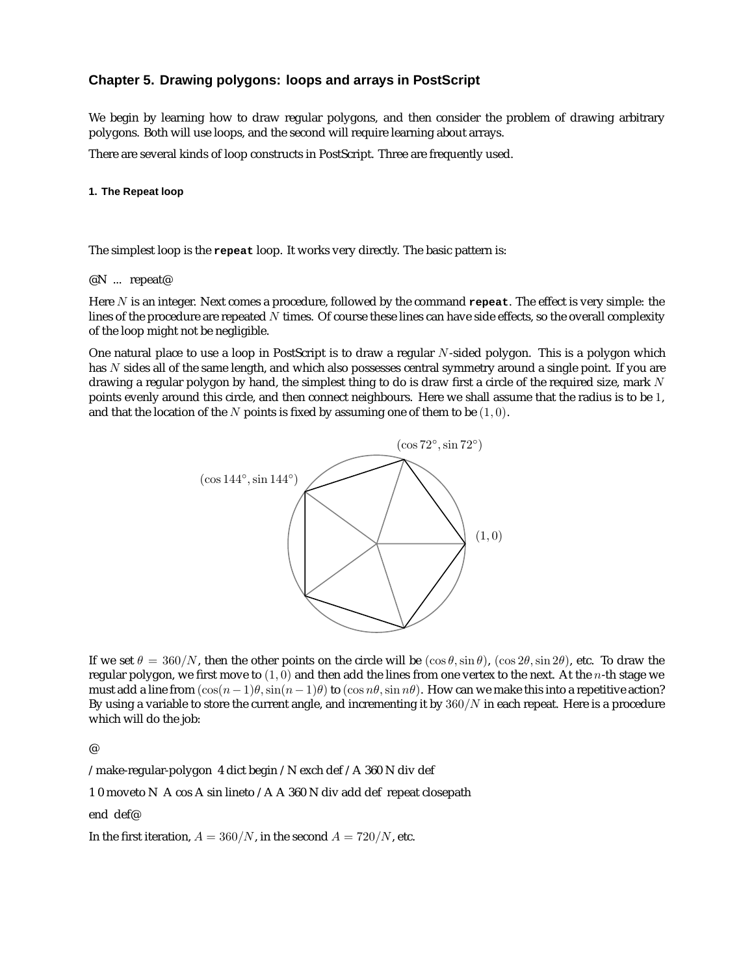# **Chapter 5. Drawing polygons: loops and arrays in PostScript**

We begin by learning how to draw regular polygons, and then consider the problem of drawing arbitrary polygons. Both will use loops, and the second will require learning about arrays.

There are several kinds of loop constructs in PostScript. Three are frequently used.

## **1. The Repeat loop**

The simplest loop is the **repeat** loop. It works very directly. The basic pattern is:

## @N ... repeat@

Here N is an integer. Next comes a procedure, followed by the command **repeat**. The effect is very simple: the lines of the procedure are repeated  $N$  times. Of course these lines can have side effects, so the overall complexity of the loop might not be negligible.

One natural place to use a loop in PostScript is to draw a regular  $N$ -sided polygon. This is a polygon which has N sides all of the same length, and which also possesses central symmetry around a single point. If you are drawing a regular polygon by hand, the simplest thing to do is draw first a circle of the required size, mark  $N$ points evenly around this circle, and then connect neighbours. Here we shall assume that the radius is to be 1, and that the location of the N points is fixed by assuming one of them to be  $(1, 0)$ .



If we set  $\theta = 360/N$ , then the other points on the circle will be  $(\cos \theta, \sin \theta)$ ,  $(\cos 2\theta, \sin 2\theta)$ , etc. To draw the regular polygon, we first move to  $(1, 0)$  and then add the lines from one vertex to the next. At the *n*-th stage we must add a line from  $(\cos(n-1)\theta, \sin(n-1)\theta)$  to  $(\cos n\theta, \sin n\theta)$ . How can we make this into a repetitive action? By using a variable to store the current angle, and incrementing it by  $360/N$  in each repeat. Here is a procedure which will do the job:

@

/make-regular-polygon 4 dict begin /N exch def /A 360 N div def

1 0 moveto N A cos A sin lineto /A A 360 N div add def repeat closepath

end def@

In the first iteration,  $A = 360/N$ , in the second  $A = 720/N$ , etc.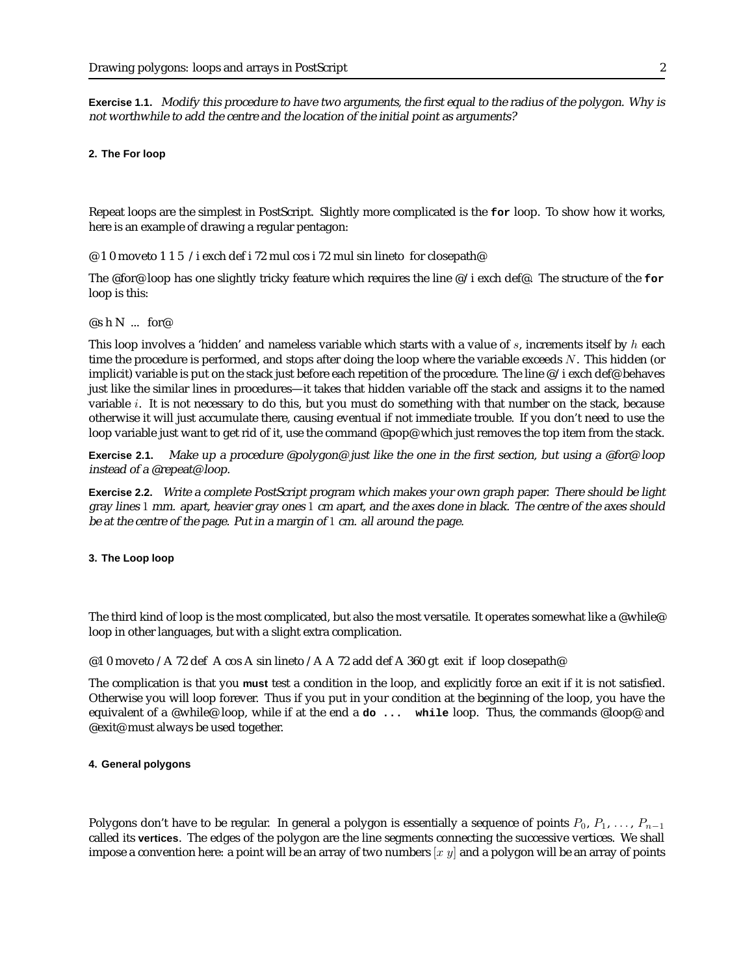**Exercise 1.1.** Modify this procedure to have two arguments, the first equal to the radius of the polygon. Why is not worthwhile to add the centre and the location of the initial point as arguments?

### **2. The For loop**

Repeat loops are the simplest in PostScript. Slightly more complicated is the **for** loop. To show how it works, here is an example of drawing a regular pentagon:

@ 1 0 moveto 1 1 5 /i exch def i 72 mul cos i 72 mul sin lineto for closepath@

The @for@ loop has one slightly tricky feature which requires the line @/i exch def@. The structure of the **for** loop is this:

#### $\mathcal{Q}_S$  h N ... for  $\mathcal{Q}$

This loop involves a 'hidden' and nameless variable which starts with a value of  $s$ , increments itself by  $h$  each time the procedure is performed, and stops after doing the loop where the variable exceeds  $N$ . This hidden (or implicit) variable is put on the stack just before each repetition of the procedure. The line @/i exch def@ behaves just like the similar lines in procedures—it takes that hidden variable off the stack and assigns it to the named variable i. It is not necessary to do this, but you must do something with that number on the stack, because otherwise it will just accumulate there, causing eventual if not immediate trouble. If you don't need to use the loop variable just want to get rid of it, use the command @pop@ which just removes the top item from the stack.

**Exercise 2.1.** Make up <sup>a</sup> procedure @polygon@ just like the one in the first section, but using <sup>a</sup> @for@ loop instead of <sup>a</sup> @repeat@ loop.

**Exercise 2.2.** Write <sup>a</sup> complete PostScript program which makes your own graph paper. There should be light gray lines 1 mm. apart, heavier gray ones 1 cm apart, and the axes done in black. The centre of the axes should be at the centre of the page. Put in <sup>a</sup> margin of 1 cm. all around the page.

#### **3. The Loop loop**

The third kind of loop is the most complicated, but also the most versatile. It operates somewhat like a @while@ loop in other languages, but with a slight extra complication.

@1 0 moveto /A 72 def A cos A sin lineto /A A 72 add def A 360 gt exit if loop closepath@

The complication is that you **must** test a condition in the loop, and explicitly force an exit if it is not satisfied. Otherwise you will loop forever. Thus if you put in your condition at the beginning of the loop, you have the equivalent of a @while@ loop, while if at the end a **do ... while** loop. Thus, the commands @loop@ and @exit@ must always be used together.

#### **4. General polygons**

Polygons don't have to be regular. In general a polygon is essentially a sequence of points  $P_0, P_1, \ldots, P_{n-1}$ called its **vertices**. The edges of the polygon are the line segments connecting the successive vertices. We shall impose a convention here: a point will be an array of two numbers  $[x \, y]$  and a polygon will be an array of points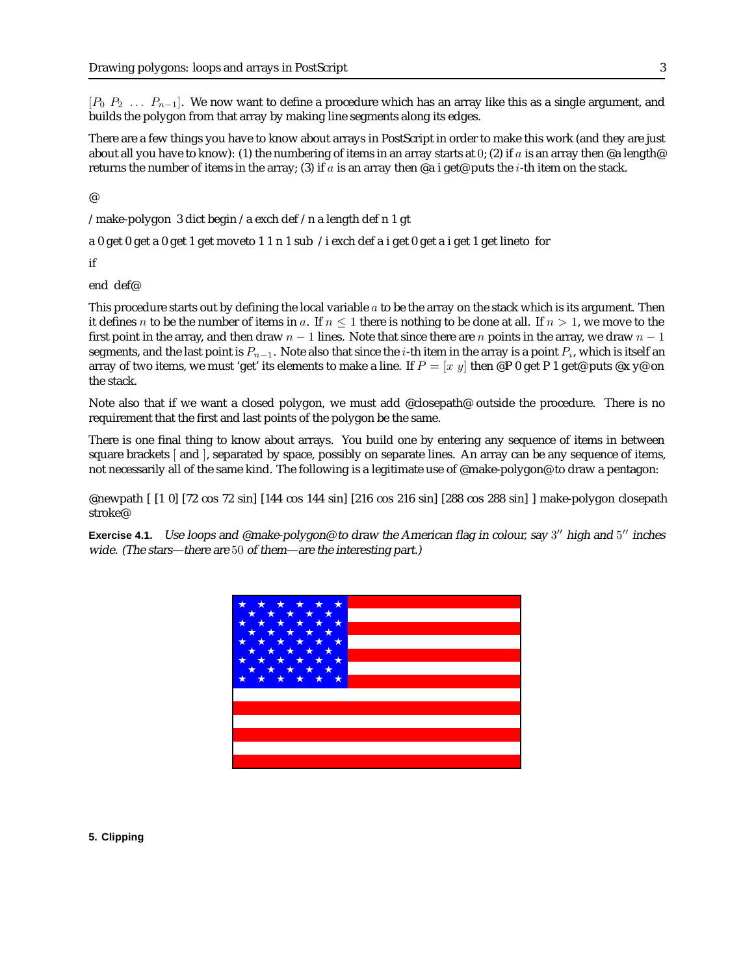$[P_0 \ P_2 \ \ldots \ P_{n-1}]$ . We now want to define a procedure which has an array like this as a single argument, and builds the polygon from that array by making line segments along its edges.

There are a few things you have to know about arrays in PostScript in order to make this work (and they are just about all you have to know): (1) the numbering of items in an array starts at 0; (2) if a is an array then @a length@ returns the number of items in the array; (3) if a is an array then @a i get@ puts the *i*-th item on the stack.

@

/make-polygon 3 dict begin /a exch def /n a length def n 1 gt

a 0 get 0 get a 0 get 1 get moveto 1 1 n 1 sub /i exch def a i get 0 get a i get 1 get lineto for

if

end def@

This procedure starts out by defining the local variable  $a$  to be the array on the stack which is its argument. Then it defines n to be the number of items in a. If  $n \leq 1$  there is nothing to be done at all. If  $n > 1$ , we move to the first point in the array, and then draw  $n - 1$  lines. Note that since there are n points in the array, we draw  $n - 1$ segments, and the last point is  $P_{n-1}$ . Note also that since the *i*-th item in the array is a point  $P_i$ , which is itself an array of two items, we must 'get' its elements to make a line. If  $P = [x \, y]$  then @P 0 get P 1 get@ puts @x y@ on the stack.

Note also that if we want a closed polygon, we must add @closepath@ outside the procedure. There is no requirement that the first and last points of the polygon be the same.

There is one final thing to know about arrays. You build one by entering any sequence of items in between square brackets [ and ], separated by space, possibly on separate lines. An array can be any sequence of items, not necessarily all of the same kind. The following is a legitimate use of @make-polygon@ to draw a pentagon:

@newpath [ [1 0] [72 cos 72 sin] [144 cos 144 sin] [216 cos 216 sin] [288 cos 288 sin] ] make-polygon closepath stroke@

**Exercise 4.1.** Use loops and @make-polygon@ to draw the American flag in colour, say 3" high and 5" inches wide. (The stars—there are 50 of them—are the interesting part.)



## **5. Clipping**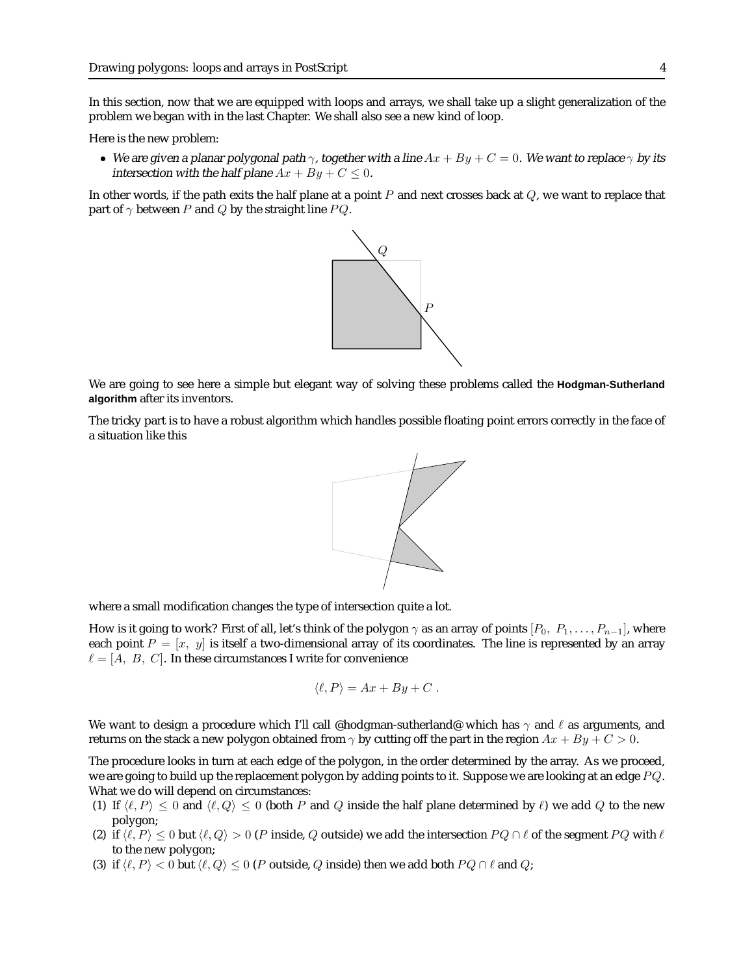In this section, now that we are equipped with loops and arrays, we shall take up a slight generalization of the problem we began with in the last Chapter. We shall also see a new kind of loop.

Here is the new problem:

• We are given a planar polygonal path  $\gamma$ , together with a line  $Ax + By + C = 0$ . We want to replace  $\gamma$  by its intersection with the half plane  $Ax + By + C \leq 0$ .

In other words, if the path exits the half plane at a point  $P$  and next crosses back at  $Q$ , we want to replace that part of  $\gamma$  between P and Q by the straight line PQ.



We are going to see here a simple but elegant way of solving these problems called the **Hodgman-Sutherland algorithm** after its inventors.

The tricky part is to have a robust algorithm which handles possible floating point errors correctly in the face of a situation like this



where a small modification changes the type of intersection quite a lot.

How is it going to work? First of all, let's think of the polygon  $\gamma$  as an array of points  $[P_0, P_1, \ldots, P_{n-1}]$ , where each point  $P = [x, y]$  is itself a two-dimensional array of its coordinates. The line is represented by an array  $\ell = [A, B, C]$ . In these circumstances I write for convenience

$$
\langle \ell, P \rangle = Ax + By + C.
$$

We want to design a procedure which I'll call @hodgman-sutherland@ which has  $\gamma$  and  $\ell$  as arguments, and returns on the stack a new polygon obtained from  $\gamma$  by cutting off the part in the region  $Ax + By + C > 0$ .

The procedure looks in turn at each edge of the polygon, in the order determined by the array. As we proceed, we are going to build up the replacement polygon by adding points to it. Suppose we are looking at an edge  $PQ$ . What we do will depend on circumstances:

- (1) If  $\langle \ell, P \rangle \leq 0$  and  $\langle \ell, Q \rangle \leq 0$  (both P and Q inside the half plane determined by  $\ell$ ) we add Q to the new polygon;
- (2) if  $\langle \ell, P \rangle \leq 0$  but  $\langle \ell, Q \rangle > 0$  (P inside, Q outside) we add the intersection  $P Q \cap \ell$  of the segment PQ with  $\ell$ to the new polygon;
- (3) if  $\langle \ell, P \rangle < 0$  but  $\langle \ell, Q \rangle \le 0$  (P outside, Q inside) then we add both  $P Q \cap \ell$  and Q;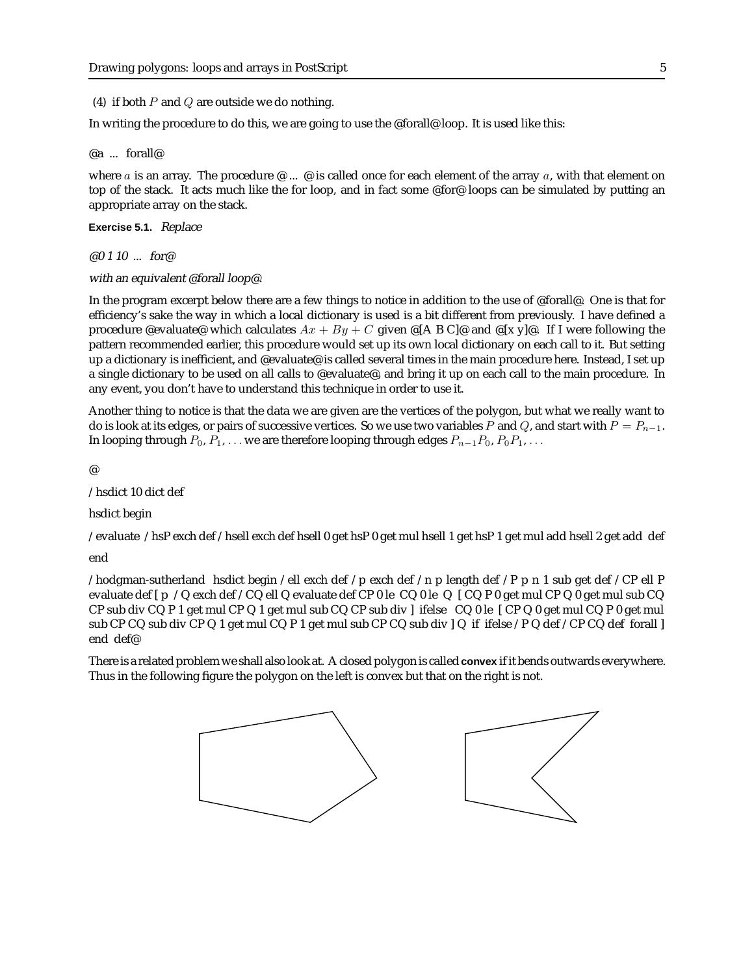(4) if both  $P$  and  $Q$  are outside we do nothing.

In writing the procedure to do this, we are going to use the @forall@ loop. It is used like this:

## @a ... forall@

where a is an array. The procedure  $\mathcal{Q}$  ...  $\mathcal{Q}$  is called once for each element of the array a, with that element on top of the stack. It acts much like the for loop, and in fact some @for@ loops can be simulated by putting an appropriate array on the stack.

**Exercise 5.1.** Replace

@0 1 10 ... for@

with an equivalent @forall loop@.

In the program excerpt below there are a few things to notice in addition to the use of @forall@. One is that for efficiency's sake the way in which a local dictionary is used is a bit different from previously. I have defined a procedure @evaluate@ which calculates  $Ax + By + C$  given @[A B C]@ and @[x y]@. If I were following the pattern recommended earlier, this procedure would set up its own local dictionary on each call to it. But setting up a dictionary is inefficient, and @evaluate@ is called several times in the main procedure here. Instead, I set up a single dictionary to be used on all calls to @evaluate@, and bring it up on each call to the main procedure. In any event, you don't have to understand this technique in order to use it.

Another thing to notice is that the data we are given are the vertices of the polygon, but what we really want to do is look at its edges, or pairs of successive vertices. So we use two variables P and Q, and start with  $P = P_{n-1}$ . In looping through  $P_0, P_1, \ldots$  we are therefore looping through edges  $P_{n-1}P_0, P_0P_1, \ldots$ 

@

/hsdict 10 dict def

hsdict begin

/evaluate /hsP exch def /hsell exch def hsell 0 get hsP 0 get mul hsell 1 get hsP 1 get mul add hsell 2 get add def

end

/hodgman-sutherland hsdict begin /ell exch def /p exch def /n p length def /P p n 1 sub get def /CP ell P evaluate def [ p /Q exch def /CQ ell Q evaluate def CP 0 le CQ 0 le Q [ CQ P 0 get mul CP Q 0 get mul sub CQ CP sub div CQ P 1 get mul CP Q 1 get mul sub CQ CP sub div ] ifelse CQ 0 le [ CP Q 0 get mul CQ P 0 get mul sub CP CQ sub div CP Q 1 get mul CQ P 1 get mul sub CP CQ sub div ] Q if ifelse /P Q def /CP CQ def forall ] end def@

There is a related problem we shall also look at. A closed polygon is called **convex** if it bends outwards everywhere. Thus in the following figure the polygon on the left is convex but that on the right is not.